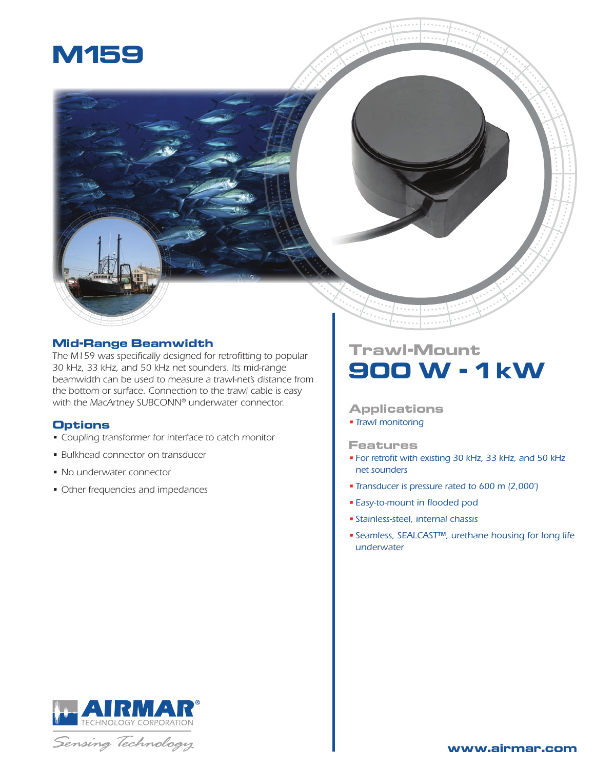



## **Mid-Range Beamwidth**

*The M159 was specifically designed for retrofitting to popular 30 kHz, 33 kHz, and 50 kHz net sounders. Its mid-range beamwidth can be used to measure a trawl-net's distance from the bottom or surface. Connection to the trawl cable is easy with the MacArtney SUBCONN® underwater connector.*

## **Options**

- *• Coupling transformer for interface to catch monitor*
- *• Bulkhead connector on transducer*
- *• No underwater connector*
- *• Other frequencies and impedances*

# **Trawl-Mount 900 W - 1 kW**

### **Applications**

*• Trawl monitoring*

#### **Features**

- *• For retrofit with existing 30 kHz, 33 kHz, and 50 kHz net sounders*
- *• Transducer is pressure rated to 600 m (2,000')*
- *• Easy-to-mount in flooded pod*
- *• Stainless-steel, internal chassis*
- *• Seamless, SEALCAST™, urethane housing for long life underwater*



Sensing Technology